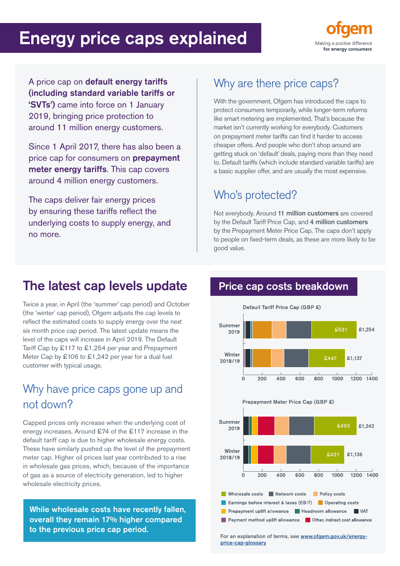# Energy price caps explained



A price cap on default energy tariffs (including standard variable tariffs or 'SVTs') came into force on 1 January 2019, bringing price protection to around 11 million energy customers.

Since 1 April 2017, there has also been a price cap for consumers on **prepayment** meter energy tariffs. This cap covers around 4 million energy customers.

The caps deliver fair energy prices by ensuring these tariffs reflect the underlying costs to supply energy, and no more.

### Why are there price caps?

With the government, Ofgem has introduced the caps to protect consumers temporarily, while longer-term reforms like smart metering are implemented. That's because the market isn't currently working for everybody. Customers on prepayment meter tariffs can find it harder to access cheaper offers. And people who don't shop around are getting stuck on 'default' deals, paying more than they need to. Default tariffs (which include standard variable tariffs) are a basic supplier offer, and are usually the most expensive.

### Who's protected?

Not everybody. Around 11 million customers are covered by the Default Tariff Price Cap, and 4 million customers by the Prepayment Meter Price Cap. The caps don't apply to people on fixed-term deals, as these are more likely to be good value.

## The latest cap levels update

Twice a year, in April (the 'summer' cap period) and October (the 'winter' cap period), Ofgem adjusts the cap levels to reflect the estimated costs to supply energy over the next six month price cap period. The latest update means the level of the caps will increase in April 2019. The Default Tariff Cap by £117 to £1,254 per year and Prepayment Meter Cap by £106 to £1,242 per year for a dual fuel customer with typical usage.

### Why have price caps gone up and not down?

Capped prices only increase when the underlying cost of energy increases. Around £74 of the £117 increase in the default tariff cap is due to higher wholesale energy costs. These have similarly pushed up the level of the prepayment meter cap. Higher oil prices last year contributed to a rise in wholesale gas prices, which, because of the importance of gas as a source of electricity generation, led to higher wholesale electricity prices.

While wholesale costs have recently fallen, overall they remain 17% higher compared to the previous price cap period.

#### Price cap costs breakdown





For an explanation of terms, see [www.ofgem.gov.uk/energy](http://www.ofgem.gov.uk/energy-price-cap-glossary)[price-cap-glossary](http://www.ofgem.gov.uk/energy-price-cap-glossary)